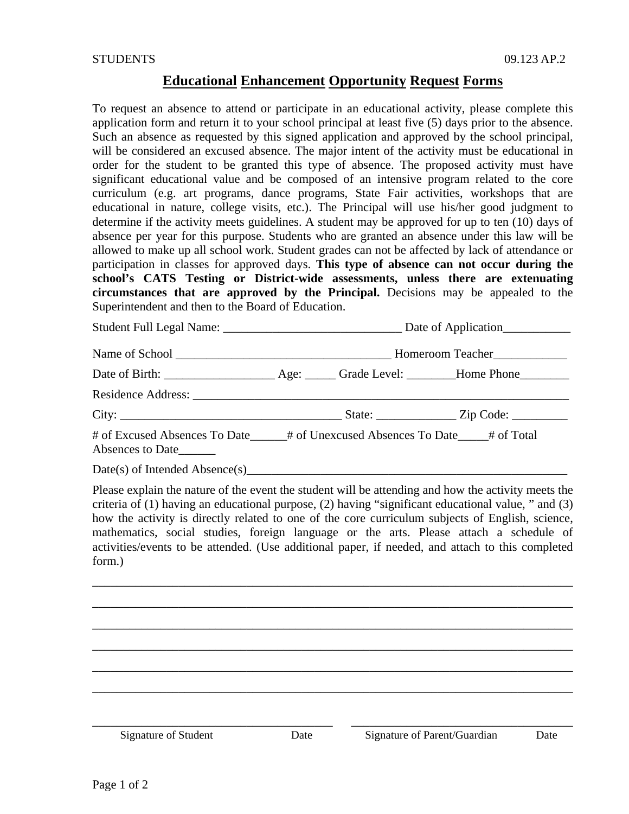## **Educational Enhancement Opportunity Request Forms**

To request an absence to attend or participate in an educational activity, please complete this application form and return it to your school principal at least five (5) days prior to the absence. Such an absence as requested by this signed application and approved by the school principal, will be considered an excused absence. The major intent of the activity must be educational in order for the student to be granted this type of absence. The proposed activity must have significant educational value and be composed of an intensive program related to the core curriculum (e.g. art programs, dance programs, State Fair activities, workshops that are educational in nature, college visits, etc.). The Principal will use his/her good judgment to determine if the activity meets guidelines. A student may be approved for up to ten (10) days of absence per year for this purpose. Students who are granted an absence under this law will be allowed to make up all school work. Student grades can not be affected by lack of attendance or participation in classes for approved days. **This type of absence can not occur during the school's CATS Testing or District-wide assessments, unless there are extenuating circumstances that are approved by the Principal.** Decisions may be appealed to the Superintendent and then to the Board of Education.

Student Full Legal Name: \_\_\_\_\_\_\_\_\_\_\_\_\_\_\_\_\_\_\_\_\_\_\_\_\_\_\_\_\_ Date of Application\_\_\_\_\_\_\_\_\_\_\_

Name of School \_\_\_\_\_\_\_\_\_\_\_\_\_\_\_\_\_\_\_\_\_\_\_\_\_\_\_\_\_\_\_\_\_\_\_ Homeroom Teacher\_\_\_\_\_\_\_\_\_\_\_\_

Date of Birth: \_\_\_\_\_\_\_\_\_\_\_\_\_\_\_\_\_\_ Age: \_\_\_\_\_ Grade Level: \_\_\_\_\_\_\_\_Home Phone\_\_\_\_\_\_\_\_

| <b>Residence Address:</b> |  |
|---------------------------|--|
|                           |  |

City: \_\_\_\_\_\_\_\_\_\_\_\_\_\_\_\_\_\_\_\_\_\_\_\_\_\_\_\_\_\_\_\_\_\_\_\_ State: \_\_\_\_\_\_\_\_\_\_\_\_\_ Zip Code: \_\_\_\_\_\_\_\_\_

# of Excused Absences To Date\_\_\_\_\_\_# of Unexcused Absences To Date\_\_\_\_\_# of Total Absences to Date\_\_\_\_\_\_

Date(s) of Intended Absence(s)

Please explain the nature of the event the student will be attending and how the activity meets the criteria of (1) having an educational purpose, (2) having "significant educational value, " and (3) how the activity is directly related to one of the core curriculum subjects of English, science, mathematics, social studies, foreign language or the arts. Please attach a schedule of activities/events to be attended. (Use additional paper, if needed, and attach to this completed form.)

\_\_\_\_\_\_\_\_\_\_\_\_\_\_\_\_\_\_\_\_\_\_\_\_\_\_\_\_\_\_\_\_\_\_\_\_\_\_\_\_\_\_\_\_\_\_\_\_\_\_\_\_\_\_\_\_\_\_\_\_\_\_\_\_\_\_\_\_\_\_\_\_\_\_\_\_\_\_

\_\_\_\_\_\_\_\_\_\_\_\_\_\_\_\_\_\_\_\_\_\_\_\_\_\_\_\_\_\_\_\_\_\_\_\_\_\_\_\_\_\_\_\_\_\_\_\_\_\_\_\_\_\_\_\_\_\_\_\_\_\_\_\_\_\_\_\_\_\_\_\_\_\_\_\_\_\_ \_\_\_\_\_\_\_\_\_\_\_\_\_\_\_\_\_\_\_\_\_\_\_\_\_\_\_\_\_\_\_\_\_\_\_\_\_\_\_\_\_\_\_\_\_\_\_\_\_\_\_\_\_\_\_\_\_\_\_\_\_\_\_\_\_\_\_\_\_\_\_\_\_\_\_\_\_\_ \_\_\_\_\_\_\_\_\_\_\_\_\_\_\_\_\_\_\_\_\_\_\_\_\_\_\_\_\_\_\_\_\_\_\_\_\_\_\_\_\_\_\_\_\_\_\_\_\_\_\_\_\_\_\_\_\_\_\_\_\_\_\_\_\_\_\_\_\_\_\_\_\_\_\_\_\_\_ \_\_\_\_\_\_\_\_\_\_\_\_\_\_\_\_\_\_\_\_\_\_\_\_\_\_\_\_\_\_\_\_\_\_\_\_\_\_\_\_\_\_\_\_\_\_\_\_\_\_\_\_\_\_\_\_\_\_\_\_\_\_\_\_\_\_\_\_\_\_\_\_\_\_\_\_\_\_ \_\_\_\_\_\_\_\_\_\_\_\_\_\_\_\_\_\_\_\_\_\_\_\_\_\_\_\_\_\_\_\_\_\_\_\_\_\_\_\_\_\_\_\_\_\_\_\_\_\_\_\_\_\_\_\_\_\_\_\_\_\_\_\_\_\_\_\_\_\_\_\_\_\_\_\_\_\_ \_\_\_\_\_\_\_\_\_\_\_\_\_\_\_\_\_\_\_\_\_\_\_\_\_\_\_\_\_\_\_\_\_\_\_\_\_\_\_ \_\_\_\_\_\_\_\_\_\_\_\_\_\_\_\_\_\_\_\_\_\_\_\_\_\_\_\_\_\_\_\_\_\_\_\_